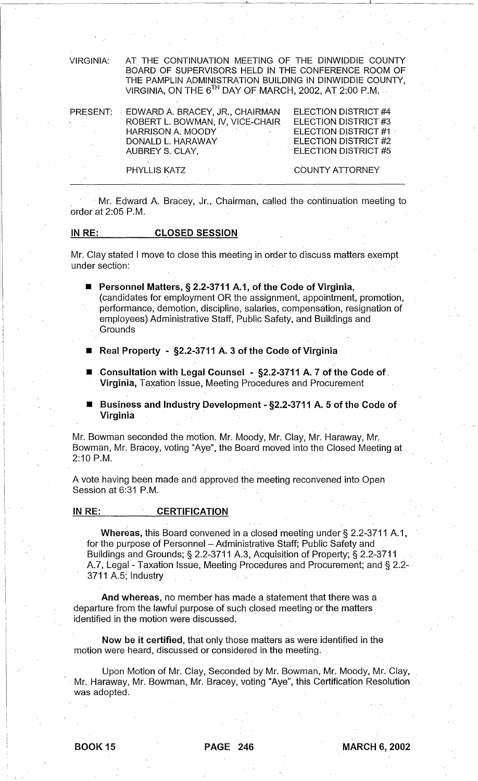VIRGINIA: AT THE CONTINUATION MEETING OF THE DINWIDDIE COUNTY BOARD OF SUPERVISORS HELD IN THE CONFERENCE ROOM OF THE PAMPLIN ADMINISTRATION BUILDING IN DINWIDDIE COUNTY, VIRGINIA, ON THE  $6^{TH}$  DAY OF MARCH, 2002, AT 2:00 P.M.

| PRESENT:                                                  | EDWARD A. BRACEY, JR., CHAIRMAN                      | ELECTION DISTRICT #4        |
|-----------------------------------------------------------|------------------------------------------------------|-----------------------------|
| $\bullet$ - $\bullet$ - $\bullet$ - $\bullet$ - $\bullet$ | ROBERT L. BOWMAN, IV, VICE-CHAIR                     | ELECTION DISTRICT #3        |
|                                                           | <b>HARRISON A. MOODY</b><br><b>Contract Contract</b> | <b>ELECTION DISTRICT #1</b> |
|                                                           | DONALD L. HARAWAY                                    | <b>ELECTION DISTRICT #2</b> |
|                                                           | AUBREY S. CLAY.                                      | <b>ELECTION DISTRICT #5</b> |
|                                                           |                                                      |                             |
|                                                           | PHYLLIS KATZ                                         | COUNTY ATTORNEY             |

Mr. Edward A. Bracey, Jr., Chairman, called the continuation meeting to order at 2:05 P.M.

## IN RE: CLOSED SESSION

Mr. Clay stated I move to close this meeting in order to discuss matters exempt under section:

■ Personnel Matters, § 2.2-3711 A.1, of the Code of Virginia, (candidates for employment OR the assignment, appointment, promotion, performance, demotion, discipline, salaries, compensation, resignation of employees) Administrative Staff, Public Safety, and Buildings and **Grounds** 

- Real Property §2.2-3711 A. 3 of the Code of Virginia
- Consultation with Legal Counsel §2.2-3711 A. 7 of the Code of. Virginia, Taxation Issue, Meeting Procedures and Procurement
- **E** Business and Industry Development §2.2-3711 A. 5 of the Code of Virginia

Mr. Bowman seconded the motion. Mr. Moody, Mr. Clay, Mr. Haraway, Mr. Bowman, Mr. Bracey, voting "Aye", the Board moved into the Closed Meeting at  $2:10$  P.M.

A vote having been made and approved the meeting reconvened into Open Session at 6:31 P.M.

## IN RE: **CERTIFICATION**

Whereas, this Board convened in a closed meeting under § 2.2-3711 A.1, for the purpose of Personnel - Administrative Staff; Public Safety and Buildings and Grounds; § 2.2-3711 A.3, Acquisition of Property; § 2.2-3711 A7, Legal - Taxation Issue, Meeting Procedures and Procurement; and § 2.2- 3711 A.5; Industry

And whereas, no member has made a statement that there was a departure from the. lawful purpose of such closed meeting or the matters identified in the motion were discussed.

Now be it certified, that only those matters as were identified in the motion were heard, discussed or considered in the meeting.

Upon Motion of Mr. Clay, Seconded by Mr. Bowman, Mr. Moody, Mr. Clay, . Mr. Haraway, Mr. Bowman, Mr. Bracey, voting "Aye", this Certification Resolution was adopted.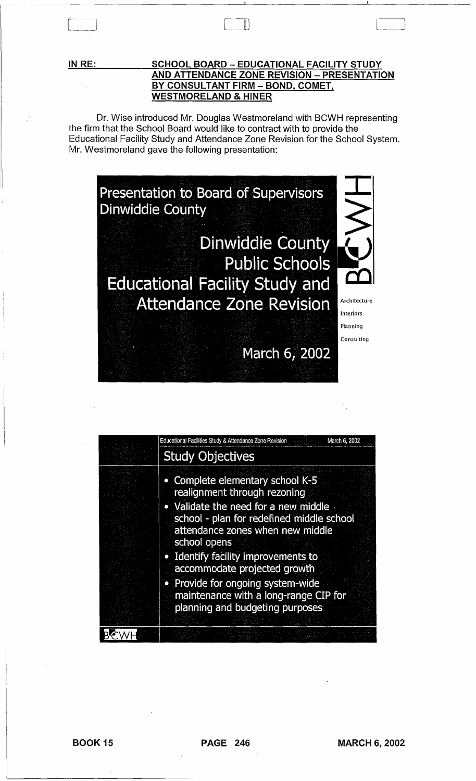**IN RE:** 

## **SCHOOL BOARD - EDUCATIONAL FACILITY STUDY AND ATTENDANCE ZONE REVISION - PRESENTATION BY CONSULTANT FIRM - BOND. COMET. WESTMORELAND & HINER**

CJJ '---\_J

Dr. Wise introduced Mr. Douglas Westmoreland with BCWH representing the firm that the School Board would like to contract with to provide the Educational Facility Study and Attendance Zone Revision for the School System. Mr. Westmoreland gave the following presentation:



| Educational Facilities Study & Attendance Zone Revision<br>March 6, 2002                                                                                                                                                                                                                                                                                                                          |
|---------------------------------------------------------------------------------------------------------------------------------------------------------------------------------------------------------------------------------------------------------------------------------------------------------------------------------------------------------------------------------------------------|
| <b>Study Objectives</b>                                                                                                                                                                                                                                                                                                                                                                           |
| • Complete elementary school K-5<br>realignment through rezoning<br>• Validate the need for a new middle<br>school - plan for redefined middle school<br>attendance zones when new middle<br>school opens<br>• Identify facility improvements to<br>accommodate projected growth<br>• Provide for ongoing system-wide<br>maintenance with a long-range CIP for<br>planning and budgeting purposes |
|                                                                                                                                                                                                                                                                                                                                                                                                   |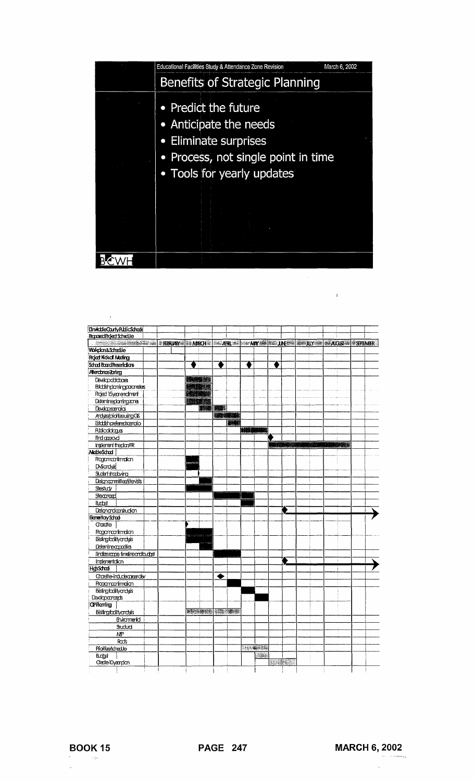| Educational Facilities Study & Attendance Zone Revision | March 6, 2002 |
|---------------------------------------------------------|---------------|
| Benefits of Strategic Planning                          |               |
| • Predict the future<br>Anticipate the needs            |               |
| • Eliminate surprises                                   |               |
| Process, not single point in time                       |               |
| • Tools for yearly updates                              |               |
|                                                         |               |
|                                                         |               |
|                                                         |               |
|                                                         |               |

 $\mathcal{L}^{\text{max}}$ 

| DirvichleCounty PublicSchools                                                               |                |                        |                    |                  |                      |  |
|---------------------------------------------------------------------------------------------|----------------|------------------------|--------------------|------------------|----------------------|--|
| Rapored Roject Schedule                                                                     |                |                        |                    |                  |                      |  |
| <b>SHELL AND STRIVE STRIVES AND STRIVES AND STRIVES AND STRIVES AND STRIVES AND STRIVES</b> |                |                        |                    |                  |                      |  |
| Wrkdcn&Schedle                                                                              |                |                        |                    |                  |                      |  |
| <b>Rojed Kokof Meding</b>                                                                   |                |                        |                    |                  |                      |  |
| School Board Resertations                                                                   |                | ٠                      | ♦                  |                  |                      |  |
| <b>Alendonce Zoring</b>                                                                     |                |                        |                    |                  |                      |  |
| Deskpoblabas                                                                                | <b>RECORDS</b> |                        |                    |                  |                      |  |
| <b>Eskbishplaningparanetes</b>                                                              | ST 1919        |                        |                    |                  |                      |  |
| Rojed 15yearendment                                                                         | <b>REDUCE</b>  |                        |                    |                  |                      |  |
| Detemineplanringzanes                                                                       | <b>RALLAR</b>  |                        |                    |                  |                      |  |
| Deveposerados                                                                               |                | 不要 林本                  |                    |                  |                      |  |
| <b>Advergional Advertisions</b>                                                             |                | 建設機構                   |                    |                  |                      |  |
| Estadishpeleredscendio                                                                      |                | BW                     |                    |                  |                      |  |
| <b>Ruicddags</b>                                                                            |                |                        | <b>MARKANA</b>     |                  |                      |  |
| Find approved                                                                               |                |                        |                    |                  |                      |  |
| Implement the plan/RR                                                                       |                |                        |                    | <b>MARK 1984</b> | <b>BARK VIDEO AL</b> |  |
| ModeSchool                                                                                  |                |                        |                    |                  |                      |  |
| Ragamaanimalian                                                                             |                |                        |                    |                  |                      |  |
| <b>DAScrobid</b>                                                                            |                |                        |                    |                  |                      |  |
| Student shootbying                                                                          |                |                        |                    |                  |                      |  |
| Deigncommitted stevists                                                                     |                |                        |                    |                  |                      |  |
| Stestudy                                                                                    |                |                        |                    |                  |                      |  |
| Steanad                                                                                     |                |                        |                    |                  |                      |  |
| <b>Budget</b>                                                                               |                |                        |                    |                  |                      |  |
| Daignandiansitualon                                                                         |                |                        |                    |                  |                      |  |
| <b>Henericry School</b>                                                                     |                |                        |                    |                  |                      |  |
| Craette                                                                                     |                |                        |                    |                  |                      |  |
| Ragamaanimaa                                                                                |                |                        |                    |                  |                      |  |
| <b>Eisingfailtyandyis</b>                                                                   |                |                        |                    |                  |                      |  |
| Determecapaties                                                                             | ttioone        |                        |                    |                  |                      |  |
| Findizescape finalreardbudget                                                               |                |                        |                    |                  |                      |  |
| Impenentaion                                                                                |                |                        |                    |                  |                      |  |
| <b>H</b> d <sub>1</sub> Schad                                                               |                |                        |                    |                  |                      |  |
| Craette-indudecrearde/                                                                      |                | ◆                      |                    |                  |                      |  |
| Ragamaanimajan                                                                              |                |                        |                    |                  |                      |  |
| <b>Eisingfadityandyis</b>                                                                   |                |                        |                    |                  |                      |  |
| Designatings                                                                                |                |                        |                    |                  |                      |  |
| <b>OPHarring</b>                                                                            |                |                        |                    |                  |                      |  |
| Eisifirgfadilyandyis                                                                        |                | <b>SAGARE (SE 305)</b> |                    |                  |                      |  |
| Environmental                                                                               |                |                        |                    |                  |                      |  |
| Studud                                                                                      |                |                        |                    |                  |                      |  |
| ΝP                                                                                          |                |                        |                    |                  |                      |  |
| Radis                                                                                       |                |                        |                    |                  |                      |  |
| Prioritize/schedUe                                                                          |                |                        | <b>All Section</b> |                  |                      |  |
| <b>Buddet</b>                                                                               |                |                        | أبحثت              |                  |                      |  |
| Cede l0yearplan                                                                             |                |                        |                    | <b>SINGLE</b>    |                      |  |

 $\frac{1}{\sqrt{2}}$ 

 $\mathbb{Z}$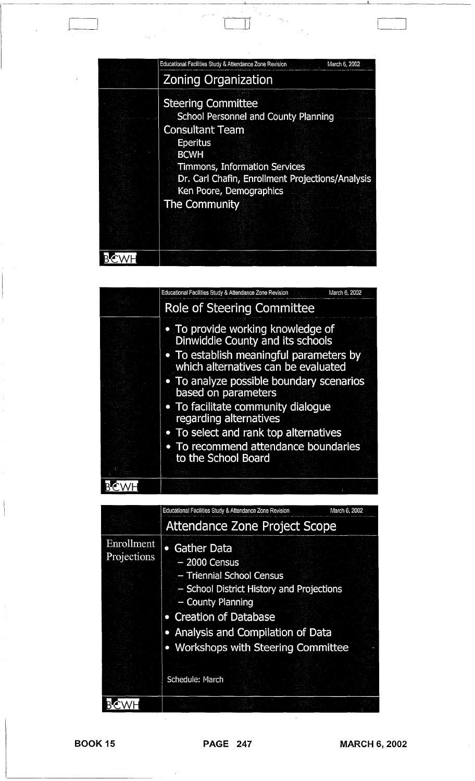| Educational Facilities Study & Attendance Zone Revision<br>March 6, 2002.                                                                                                                                                                                                    |
|------------------------------------------------------------------------------------------------------------------------------------------------------------------------------------------------------------------------------------------------------------------------------|
| <b>Zoning Organization</b>                                                                                                                                                                                                                                                   |
| <b>Steering Committee</b><br><b>School Personnel and County Planning</b><br><b>Consultant Team</b><br><b>Eperitus</b><br><b>BCWH</b><br><b>Timmons, Information Services</b><br>Dr. Carl Chafin, Enrollment Projections/Analysis<br>Ken Poore, Demographics<br>The Community |
|                                                                                                                                                                                                                                                                              |

| Educational Facilities Study & Attendance Zone Revision<br>March 6, 2002                                                                                       |
|----------------------------------------------------------------------------------------------------------------------------------------------------------------|
| Role of Steering Committee                                                                                                                                     |
| . To provide working knowledge of<br><b>Dinwiddie County and its schools</b><br>• To establish meaningful parameters by<br>which alternatives can be evaluated |
| • To analyze possible boundary scenarios<br>based on parameters                                                                                                |
| • To facilitate community dialoque<br>regarding alternatives                                                                                                   |
| • To select and rank top alternatives                                                                                                                          |
| • To recommend attendance boundaries<br>to the School Board                                                                                                    |
|                                                                                                                                                                |
|                                                                                                                                                                |

|                           | Educational Facilities Study & Attendance Zone Revision                                                                                                                                                                                                | March 6, 2002 |
|---------------------------|--------------------------------------------------------------------------------------------------------------------------------------------------------------------------------------------------------------------------------------------------------|---------------|
|                           | <b>Attendance Zone Project Scope</b>                                                                                                                                                                                                                   |               |
| Enrollment<br>Projections | • Gather Data<br>$-2000$ Census<br>- Triennial School Census<br>- School District History and Projections<br>- County Planning<br>• Creation of Database<br>Analysis and Compilation of Data<br>• Workshops with Steering Committee<br>Schedule: March |               |
|                           |                                                                                                                                                                                                                                                        |               |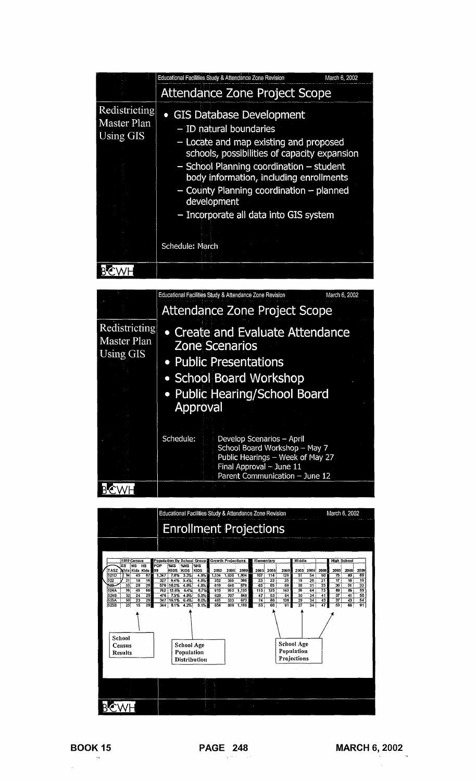|                                                  | Educational Facilities Study & Attendance Zone Revision<br>March 6, 2002                                                                                                                                                                                                                                                                                            |  |
|--------------------------------------------------|---------------------------------------------------------------------------------------------------------------------------------------------------------------------------------------------------------------------------------------------------------------------------------------------------------------------------------------------------------------------|--|
|                                                  | <b>Attendance Zone Project Scope</b>                                                                                                                                                                                                                                                                                                                                |  |
| Redistricting<br>Master Plan<br><b>Using GIS</b> | <b>GIS Database Development</b><br>- ID natural boundaries<br>- Locate and map existing and proposed<br>schools, possibilities of capacity expansion<br>- School Planning coordination - student<br>body information, including enrollments<br>- County Planning coordination - planned<br>development<br>- Incorporate all data into GIS system<br>Schedule: March |  |
|                                                  |                                                                                                                                                                                                                                                                                                                                                                     |  |

|                                           |           | Educational Facilities Study & Attendance Zone Revision                                                                                                      | March 6, 2002 |
|-------------------------------------------|-----------|--------------------------------------------------------------------------------------------------------------------------------------------------------------|---------------|
|                                           |           | Attendance Zone Project Scope                                                                                                                                |               |
| Redistricting<br>Master Plan<br>Using GIS | Approval  | • Create and Evaluate Attendance<br><b>Zone Scenarios</b><br>• Public Presentations<br>• School Board Workshop<br>• Public Hearing/School Board              |               |
|                                           | Schedule: | Develop Scenarios - April<br>School Board Workshop - May 7<br>Public Hearings - Week of May 27<br>Final Approval - June 11<br>Parent Communication - June 12 |               |
|                                           |           |                                                                                                                                                              |               |

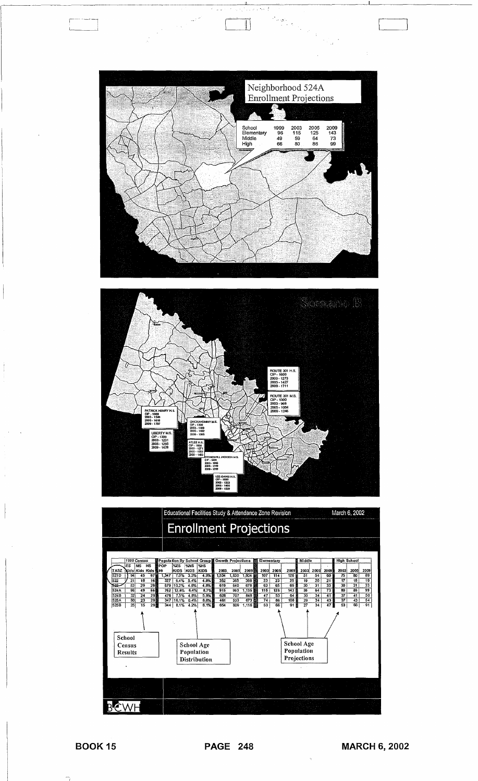

ings<br>Sings

 $\frac{1}{2} \sum_{i=1}^{n} \frac{1}{i} \sum_{j=1}^{n} \frac{1}{j} \sum_{j=1}^{n} \frac{1}{j} \sum_{j=1}^{n} \frac{1}{j} \sum_{j=1}^{n} \frac{1}{j} \sum_{j=1}^{n} \frac{1}{j} \sum_{j=1}^{n} \frac{1}{j} \sum_{j=1}^{n} \frac{1}{j} \sum_{j=1}^{n} \frac{1}{j} \sum_{j=1}^{n} \frac{1}{j} \sum_{j=1}^{n} \frac{1}{j} \sum_{j=1}^{n} \frac{1}{j} \sum_{j=1}^{n$ 

 $\mathbb{R}^2$ 



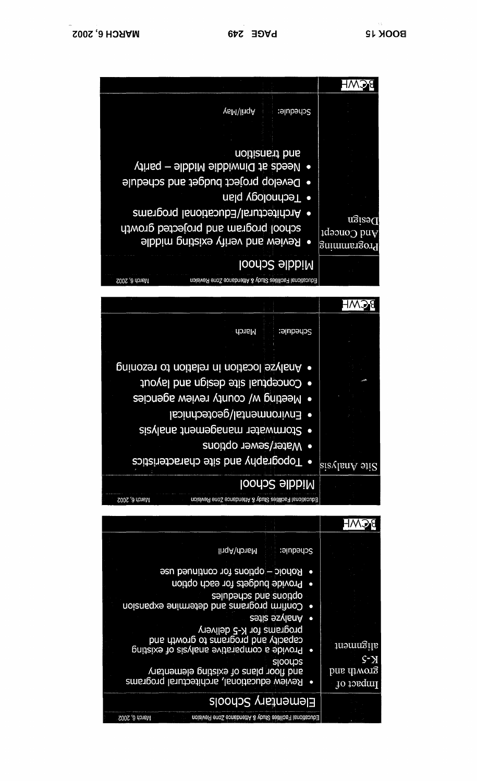| lingA\donsM<br>Schedule:                                                                                                       |                                       |
|--------------------------------------------------------------------------------------------------------------------------------|---------------------------------------|
| Rohoic - options for continued use<br>$\bullet$<br>Provide budgets for each option<br>$\bullet$                                |                                       |
| saluberios bub enoido<br>Confirm programs and determine expansion                                                              |                                       |
| Analyze spie<br>programs for K-5 delivery<br>capacity and programs to growth and<br>Provide a comparative analysis of existing | alignment                             |
| sloodos<br>aug tloor plaus of existing elementary<br>Review educational, architectural programs                                | $S^-\rm X$<br>pue qiworg<br>Inpact of |
| Elementary Schools                                                                                                             |                                       |
| Educational Facilities Study & Nttendance Zone Revision<br>March 6, 2002                                                       |                                       |

| THE REPORT OF STREET<br>school program and projected growth<br>• Review and verify existing middle                                                                                                                                                                      | Dezign<br>$1$ də $200$ puv<br>Programming |
|-------------------------------------------------------------------------------------------------------------------------------------------------------------------------------------------------------------------------------------------------------------------------|-------------------------------------------|
| <b>Niddle School</b>                                                                                                                                                                                                                                                    |                                           |
| Educational Facilities Study & Attendance Zone Revision<br>March 6, 2002                                                                                                                                                                                                |                                           |
|                                                                                                                                                                                                                                                                         |                                           |
| March<br>Schedule:                                                                                                                                                                                                                                                      |                                           |
| • Analyze location in relation to rezoning<br>· Conceptual site design and layout<br>Meeting w/ county review agencies<br>Environmental/geotechnical<br>$\bullet$<br>• Stormwater management analysis<br>• Water/sewer options<br>· Topography and site characteristics | $s$ ie Analysis                           |
| <b>Niddle School</b><br><b>2002 'Q LOIPIN</b><br>Editionism Lacisius 2/100 v Videopolia v Arianis Venisioni                                                                                                                                                             |                                           |

| <b>YaM\lingA</b>                                                                                                        | Schedule:                                         |
|-------------------------------------------------------------------------------------------------------------------------|---------------------------------------------------|
|                                                                                                                         |                                                   |
| noitiens bns<br>• Needs at Dinwiddie Middle - parity                                                                    |                                                   |
| Develop project budget and schedule<br>• Technology plan                                                                |                                                   |
| • Architectural/Educational programs<br>school program and projected growth<br><b>Review and verify existing middle</b> | Design<br>$\frac{1}{2}$ ud Concept<br>Programming |
| <b>Niddle School</b>                                                                                                    |                                                   |
| Educational Facilities Study & Attendance Zone Revision<br>March 6, 2002                                                |                                                   |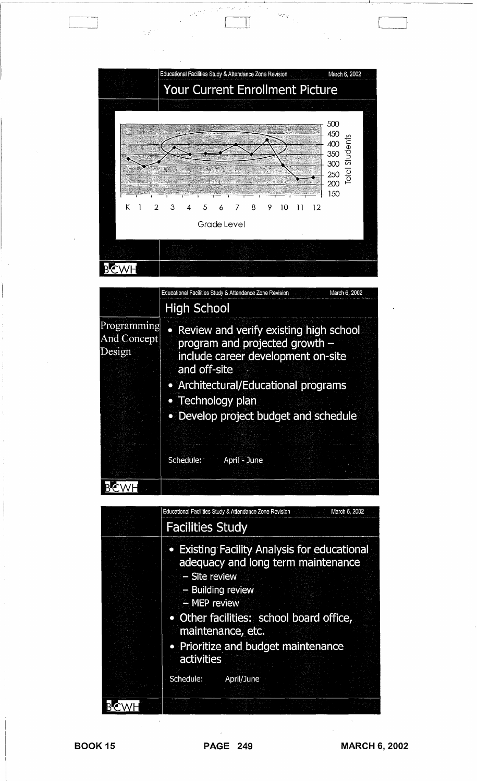

--------- -.~------~~-------"-----'--~-------c----~--~--

 $\mathbb H$ 

|                                      | <b>High School</b>                                                                                                                                                                                                                       | Educational Facilities Study & Attendance Zone Revision<br>March 6, 2002 |  |  |
|--------------------------------------|------------------------------------------------------------------------------------------------------------------------------------------------------------------------------------------------------------------------------------------|--------------------------------------------------------------------------|--|--|
| Programming<br>And Concept<br>Design | • Review and verify existing high school<br>program and projected growth $-$<br>include career development on-site<br>and off-site<br>• Architectural/Educational programs<br>• Technology plan<br>• Develop project budget and schedule |                                                                          |  |  |
|                                      | Schedule:                                                                                                                                                                                                                                | April - June                                                             |  |  |
|                                      |                                                                                                                                                                                                                                          |                                                                          |  |  |

| Educational Facilities Study & Attendance Zone Revision<br>March 6, 2002                                                                                                             |  |  |  |
|--------------------------------------------------------------------------------------------------------------------------------------------------------------------------------------|--|--|--|
| <b>Facilities Study</b>                                                                                                                                                              |  |  |  |
| • Existing Facility Analysis for educational<br>adequacy and long term maintenance<br>- Site review<br>- Building review<br>- MEP review<br>• Other facilities: school board office, |  |  |  |
| maintenance, etc.                                                                                                                                                                    |  |  |  |
| • Prioritize and budget maintenance<br>activities                                                                                                                                    |  |  |  |
| Schedule:<br>April/June                                                                                                                                                              |  |  |  |
|                                                                                                                                                                                      |  |  |  |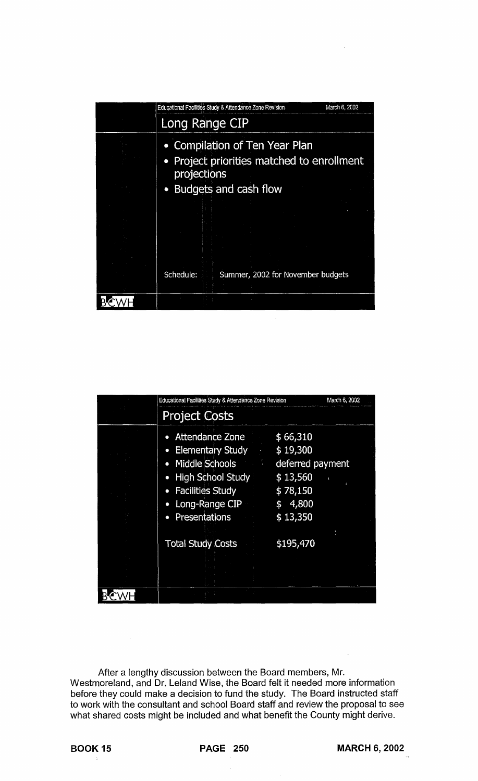| Educational Facilities Study & Attendance Zone Revision<br>March 6, 2002                                    |
|-------------------------------------------------------------------------------------------------------------|
| Long Range CIP                                                                                              |
| <b>Compilation of Ten Year Plan</b><br>$\bullet$<br>Project priorities matched to enrollment<br>projections |
| Budgets and cash flow<br>$\bullet$                                                                          |
|                                                                                                             |
| Schedule:<br>Summer, 2002 for November budgets                                                              |
|                                                                                                             |

| Educational Facilities Study & Attendance Zone Revision                                                                                                                                                                                     | March 6, 2002                                                                               |  |  |
|---------------------------------------------------------------------------------------------------------------------------------------------------------------------------------------------------------------------------------------------|---------------------------------------------------------------------------------------------|--|--|
| <b>Project Costs</b>                                                                                                                                                                                                                        |                                                                                             |  |  |
| <b>Attendance Zone</b><br>$\bullet$<br><b>Elementary Study</b><br>$\bullet$<br>Middle Schools<br>$\bullet$<br><b>High School Study</b><br>$\bullet$<br><b>Facilities Study</b><br>$\bullet$<br>Long-Range CIP<br>Presentations<br>$\bullet$ | \$66,310<br>\$19,300<br>deferred payment<br>\$13,560<br>\$78,150<br>4,800<br>\$<br>\$13,350 |  |  |
| <b>Total Study Costs</b>                                                                                                                                                                                                                    | \$195,470                                                                                   |  |  |

After a lengthy discussion between the Board members, Mr. Westmoreland, and Dr. Leland Wise, the Board felt it needed more information before they could make a decision to fund the study. The Board instructed staff to work with the consultant and school Board staff and review the proposal to see what shared costs might be included and what benefit the County might derive.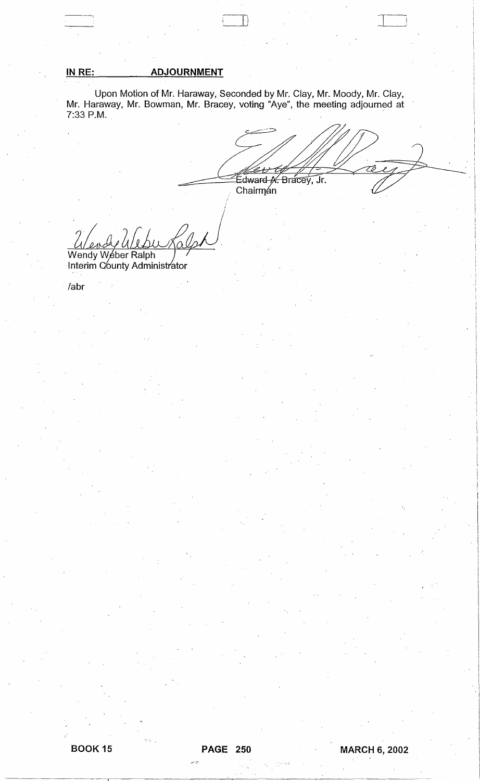## IN RE: **ADJOURNMENT**

Upon Motion of Mr. Haraway, Seconded by Mr. Clay, Mr. Moody, Mr. Clay,<br>Mr. Haraway, Mr. Bowman, Mr. Bracey, voting "Aye", the meeting adjourned at 7:33 P.M.

Edward A. Bracey, Jr.<br>Chairman

Wendy Weber Ralph

/abr

io V